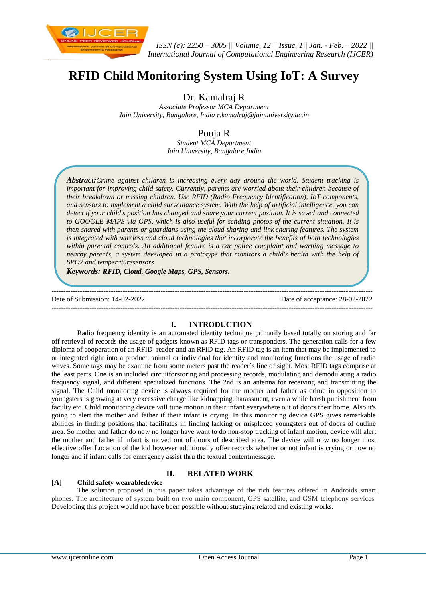

# **RFID Child Monitoring System Using IoT: A Survey**

Dr. Kamalraj R

*Associate Professor MCA Department Jain University, Bangalore, India [r.kamalraj@jainuniversity.ac.in](mailto:r.kamalraj@jainuniversity.ac.in)*

## Pooja R

*Student MCA Department Jain University, Bangalore,India*

*Abstract:Crime against children is increasing every day around the world. Student tracking is important for improving child safety. Currently, parents are worried about their children because of their breakdown or missing children. Use RFID (Radio Frequency Identification), IoT components, and sensors to implement a child surveillance system. With the help of artificial intelligence, you can detect if your child's position has changed and share your current position. It is saved and connected to GOOGLE MAPS via GPS, which is also useful for sending photos of the current situation. It is then shared with parents or guardians using the cloud sharing and link sharing features. The system is integrated with wireless and cloud technologies that incorporate the benefits of both technologies within parental controls. An additional feature is a car police complaint and warning message to nearby parents, a system developed in a prototype that monitors a child's health with the help of SPO2 and temperaturesensors*

*Keywords: RFID, Cloud, Google Maps, GPS, Sensors.*

--------------------------------------------------------------------------------------------------------------------------------------- Date of Submission: 14-02-2022 Date of acceptance: 28-02-2022 ---------------------------------------------------------------------------------------------------------------------------------------

#### **I. INTRODUCTION**

Radio frequency identity is an automated identity technique primarily based totally on storing and far off retrieval of records the usage of gadgets known as RFID tags or transponders. The generation calls for a few diploma of cooperation of an RFID reader and an RFID tag. An RFID tag is an item that may be implemented to or integrated right into a product, animal or individual for identity and monitoring functions the usage of radio waves. Some tags may be examine from some meters past the reader`s line of sight. Most RFID tags comprise at the least parts. One is an included circuitforstoring and processing records, modulating and demodulating a radio frequency signal, and different specialized functions. The 2nd is an antenna for receiving and transmitting the signal. The Child monitoring device is always required for the mother and father as crime in opposition to youngsters is growing at very excessive charge like kidnapping, harassment, even a while harsh punishment from faculty etc. Child monitoring device will tune motion in their infant everywhere out of doors their home. Also it's going to alert the mother and father if their infant is crying. In this monitoring device GPS gives remarkable abilities in finding positions that facilitates in finding lacking or misplaced youngsters out of doors of outline area. So mother and father do now no longer have want to do non-stop tracking of infant motion, device will alert the mother and father if infant is moved out of doors of described area. The device will now no longer most effective offer Location of the kid however additionally offer records whether or not infant is crying or now no longer and if infant calls for emergency assist thru the textual contentmessage.

### **II. RELATED WORK**

#### **[A] Child safety wearabledevice**

The solution proposed in this paper takes advantage of the rich features offered in Androids smart phones. The architecture of system built on two main component, GPS satellite, and GSM telephony services. Developing this project would not have been possible without studying related and existing works.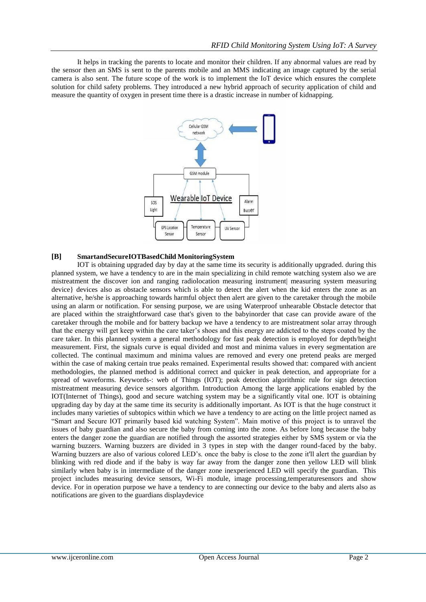It helps in tracking the parents to locate and monitor their children. If any abnormal values are read by the sensor then an SMS is sent to the parents mobile and an MMS indicating an image captured by the serial camera is also sent. The future scope of the work is to implement the IoT device which ensures the complete solution for child safety problems. They introduced a new hybrid approach of security application of child and measure the quantity of oxygen in present time there is a drastic increase in number of kidnapping.



#### **[B] SmartandSecureIOTBasedChild MonitoringSystem**

IOT is obtaining upgraded day by day at the same time its security is additionally upgraded. during this planned system, we have a tendency to are in the main specializing in child remote watching system also we are mistreatment the discover ion and ranging radiolocation measuring instrument| measuring system measuring device} devices also as obstacle sensors which is able to detect the alert when the kid enters the zone as an alternative, he/she is approaching towards harmful object then alert are given to the caretaker through the mobile using an alarm or notification. For sensing purpose, we are using Waterproof unhearable Obstacle detector that are placed within the straightforward case that's given to the babyinorder that case can provide aware of the caretaker through the mobile and for battery backup we have a tendency to are mistreatment solar array through that the energy will get keep within the care taker's shoes and this energy are addicted to the steps coated by the care taker. In this planned system a general methodology for fast peak detection is employed for depth/height measurement. First, the signals curve is equal divided and most and minima values in every segmentation are collected. The continual maximum and minima values are removed and every one pretend peaks are merged within the case of making certain true peaks remained. Experimental results showed that: compared with ancient methodologies, the planned method is additional correct and quicker in peak detection, and appropriate for a spread of waveforms. Keywords-: web of Things (IOT); peak detection algorithmic rule for sign detection mistreatment measuring device sensors algorithm. Introduction Among the large applications enabled by the IOT(Internet of Things), good and secure watching system may be a significantly vital one. IOT is obtaining upgrading day by day at the same time its security is additionally important. As IOT is that the huge construct it includes many varieties of subtopics within which we have a tendency to are acting on the little project named as "Smart and Secure IOT primarily based kid watching System". Main motive of this project is to unravel the issues of baby guardian and also secure the baby from coming into the zone. As before long because the baby enters the danger zone the guardian are notified through the assorted strategies either by SMS system or via the warning buzzers. Warning buzzers are divided in 3 types in step with the danger round-faced by the baby. Warning buzzers are also of various colored LED's. once the baby is close to the zone it'll alert the guardian by blinking with red diode and if the baby is way far away from the danger zone then yellow LED will blink similarly when baby is in intermediate of the danger zone inexperienced LED will specify the guardian. This project includes measuring device sensors, Wi-Fi module, image processing,temperaturesensors and show device. For in operation purpose we have a tendency to are connecting our device to the baby and alerts also as notifications are given to the guardians displaydevice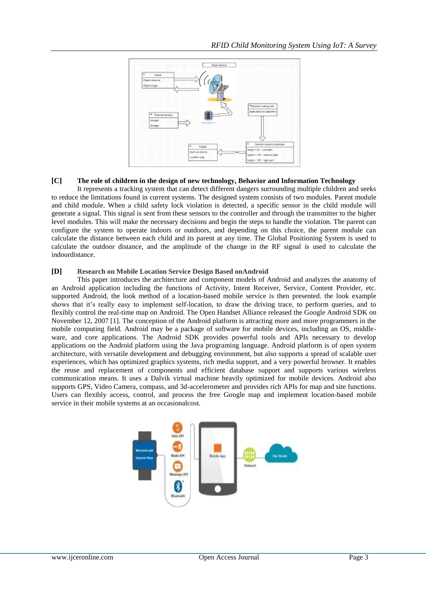

#### **[C] The role of children in the design of new technology, Behavior and Information Technology**

It represents a tracking system that can detect different dangers surrounding multiple children and seeks to reduce the limitations found in current systems. The designed system consists of two modules. Parent module and child module. When a child safety lock violation is detected, a specific sensor in the child module will generate a signal. This signal is sent from these sensors to the controller and through the transmitter to the higher level modules. This will make the necessary decisions and begin the steps to handle the violation. The parent can configure the system to operate indoors or outdoors, and depending on this choice, the parent module can calculate the distance between each child and its parent at any time. The Global Positioning System is used to calculate the outdoor distance, and the amplitude of the change in the RF signal is used to calculate the indoordistance.

#### **[D] Research on Mobile Location Service Design Based onAndroid**

This paper introduces the architecture and component models of Android and analyzes the anatomy of an Android application including the functions of Activity, Intent Receiver, Service, Content Provider, etc. supported Android, the look method of a location-based mobile service is then presented. the look example shows that it's really easy to implement self-location, to draw the driving trace, to perform queries, and to flexibly control the real-time map on Android. The Open Handset Alliance released the Google Android SDK on November 12, 2007 [1]. The conception of the Android platform is attracting more and more programmers in the mobile computing field. Android may be a package of software for mobile devices, including an OS, middleware, and core applications. The Android SDK provides powerful tools and APIs necessary to develop applications on the Android platform using the Java programing language. Android platform is of open system architecture, with versatile development and debugging environment, but also supports a spread of scalable user experiences, which has optimized graphics systems, rich media support, and a very powerful browser. It enables the reuse and replacement of components and efficient database support and supports various wireless communication means. It uses a Dalvik virtual machine heavily optimized for mobile devices. Android also supports GPS, Video Camera, compass, and 3d-accelerometer and provides rich APIs for map and site functions. Users can flexibly access, control, and process the free Google map and implement location-based mobile service in their mobile systems at an occasionalcost.